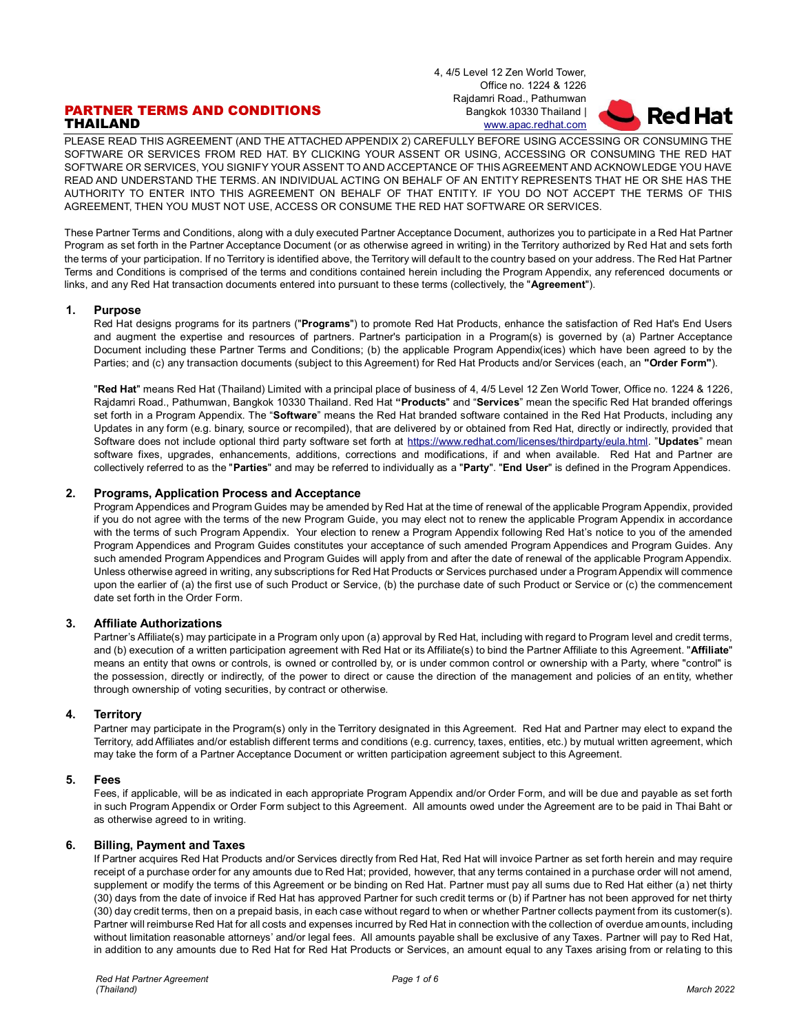4, 4/5 Level 12 Zen World Tower, Office no. 1224 & 1226 Rajdamri Road., Pathumwan Bangkok 10330 Thailand | [www.apac.redhat.com](http://www.redhat.com/)

# PARTNER TERMS AND CONDITIONS THAILAND

PLEASE READ THIS AGREEMENT (AND THE ATTACHED APPENDIX 2) CAREFULLY BEFORE USING ACCESSING OR CONSUMING THE SOFTWARE OR SERVICES FROM RED HAT. BY CLICKING YOUR ASSENT OR USING, ACCESSING OR CONSUMING THE RED HAT SOFTWARE OR SERVICES, YOU SIGNIFY YOUR ASSENT TO AND ACCEPTANCE OF THIS AGREEMENT AND ACKNOWLEDGE YOU HAVE READ AND UNDERSTAND THE TERMS. AN INDIVIDUAL ACTING ON BEHALF OF AN ENTITY REPRESENTS THAT HE OR SHE HAS THE AUTHORITY TO ENTER INTO THIS AGREEMENT ON BEHALF OF THAT ENTITY. IF YOU DO NOT ACCEPT THE TERMS OF THIS AGREEMENT, THEN YOU MUST NOT USE, ACCESS OR CONSUME THE RED HAT SOFTWARE OR SERVICES.

These Partner Terms and Conditions, along with a duly executed Partner Acceptance Document, authorizes you to participate in a Red Hat Partner Program as set forth in the Partner Acceptance Document (or as otherwise agreed in writing) in the Territory authorized by Red Hat and sets forth the terms of your participation. If no Territory is identified above, the Territory will default to the country based on your address. The Red Hat Partner Terms and Conditions is comprised of the terms and conditions contained herein including the Program Appendix, any referenced documents or links, and any Red Hat transaction documents entered into pursuant to these terms (collectively, the "**Agreement**").

## **1. Purpose**

Red Hat designs programs for its partners ("**Programs**") to promote Red Hat Products, enhance the satisfaction of Red Hat's End Users and augment the expertise and resources of partners. Partner's participation in a Program(s) is governed by (a) Partner Acceptance Document including these Partner Terms and Conditions; (b) the applicable Program Appendix(ices) which have been agreed to by the Parties; and (c) any transaction documents (subject to this Agreement) for Red Hat Products and/or Services (each, an **"Order Form"**).

"**Red Hat**" means Red Hat (Thailand) Limited with a principal place of business of 4, 4/5 Level 12 Zen World Tower, Office no. 1224 & 1226, Rajdamri Road., Pathumwan, Bangkok 10330 Thailand. Red Hat **"Products**" and "**Services**" mean the specific Red Hat branded offerings set forth in a Program Appendix. The "**Software**" means the Red Hat branded software contained in the Red Hat Products, including any Updates in any form (e.g. binary, source or recompiled), that are delivered by or obtained from Red Hat, directly or indirectly, provided that Software does not include optional third party software set forth at [https://www.redhat.com/licenses/thirdparty/eula.html.](https://www.redhat.com/licenses/thirdparty/eula.html) "**Updates**" mean software fixes, upgrades, enhancements, additions, corrections and modifications, if and when available. Red Hat and Partner are collectively referred to as the "**Parties**" and may be referred to individually as a "**Party**". "**End User**" is defined in the Program Appendices.

## **2. Programs, Application Process and Acceptance**

Program Appendices and Program Guides may be amended by Red Hat at the time of renewal of the applicable Program Appendix, provided if you do not agree with the terms of the new Program Guide, you may elect not to renew the applicable Program Appendix in accordance with the terms of such Program Appendix. Your election to renew a Program Appendix following Red Hat's notice to you of the amended Program Appendices and Program Guides constitutes your acceptance of such amended Program Appendices and Program Guides. Any such amended Program Appendices and Program Guides will apply from and after the date of renewal of the applicable Program Appendix. Unless otherwise agreed in writing, any subscriptions for Red Hat Products or Services purchased under a Program Appendix will commence upon the earlier of (a) the first use of such Product or Service, (b) the purchase date of such Product or Service or (c) the commencement date set forth in the Order Form.

## **3. Affiliate Authorizations**

Partner's Affiliate(s) may participate in a Program only upon (a) approval by Red Hat, including with regard to Program level and credit terms, and (b) execution of a written participation agreement with Red Hat or its Affiliate(s) to bind the Partner Affiliate to this Agreement. "**Affiliate**" means an entity that owns or controls, is owned or controlled by, or is under common control or ownership with a Party, where "control" is the possession, directly or indirectly, of the power to direct or cause the direction of the management and policies of an entity, whether through ownership of voting securities, by contract or otherwise.

## **4. Territory**

Partner may participate in the Program(s) only in the Territory designated in this Agreement. Red Hat and Partner may elect to expand the Territory, add Affiliates and/or establish different terms and conditions (e.g. currency, taxes, entities, etc.) by mutual written agreement, which may take the form of a Partner Acceptance Document or written participation agreement subject to this Agreement.

## **5. Fees**

Fees, if applicable, will be as indicated in each appropriate Program Appendix and/or Order Form, and will be due and payable as set forth in such Program Appendix or Order Form subject to this Agreement. All amounts owed under the Agreement are to be paid in Thai Baht or as otherwise agreed to in writing.

## **6. Billing, Payment and Taxes**

If Partner acquires Red Hat Products and/or Services directly from Red Hat, Red Hat will invoice Partner as set forth herein and may require receipt of a purchase order for any amounts due to Red Hat; provided, however, that any terms contained in a purchase order will not amend, supplement or modify the terms of this Agreement or be binding on Red Hat. Partner must pay all sums due to Red Hat either (a) net thirty (30) days from the date of invoice if Red Hat has approved Partner for such credit terms or (b) if Partner has not been approved for net thirty (30) day credit terms, then on a prepaid basis, in each case without regard to when or whether Partner collects payment from its customer(s). Partner will reimburse Red Hat for all costs and expenses incurred by Red Hat in connection with the collection of overdue amounts, including without limitation reasonable attorneys' and/or legal fees. All amounts payable shall be exclusive of any Taxes. Partner will pay to Red Hat, in addition to any amounts due to Red Hat for Red Hat Products or Services, an amount equal to any Taxes arising from or relating to this

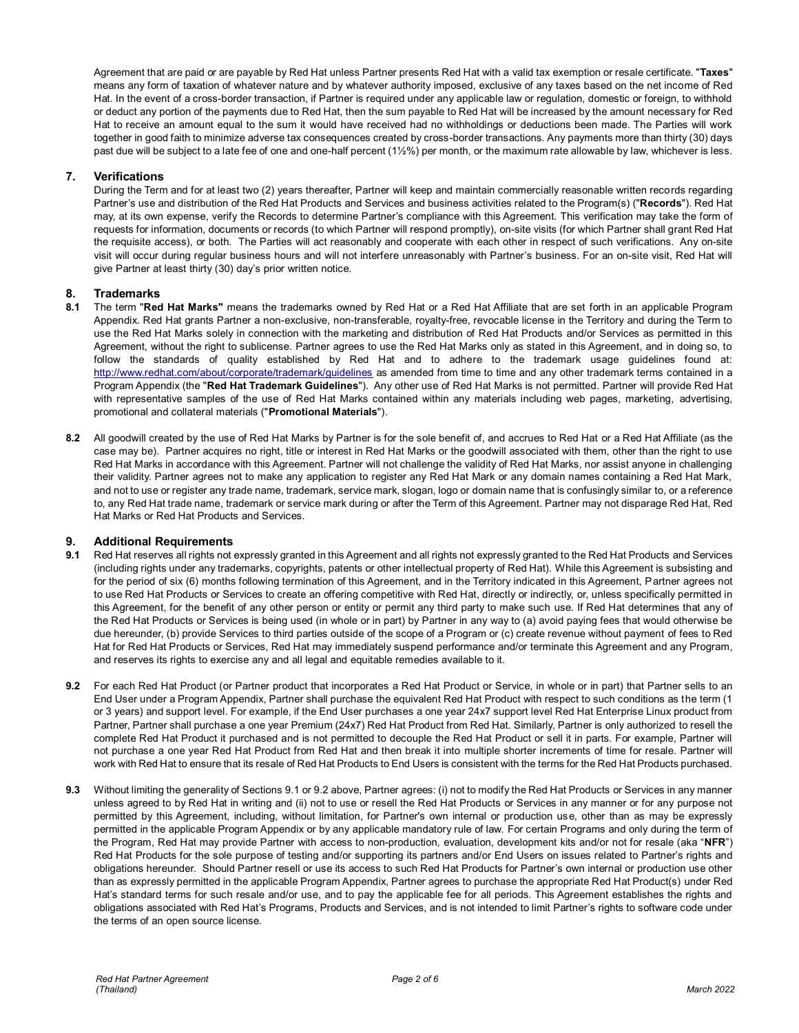Agreement that are paid or are payable by Red Hat unless Partner presents Red Hat with a valid tax exemption or resale certificate. "**Taxes**" means any form of taxation of whatever nature and by whatever authority imposed, exclusive of any taxes based on the net income of Red Hat. In the event of a cross-border transaction, if Partner is required under any applicable law or regulation, domestic or foreign, to withhold or deduct any portion of the payments due to Red Hat, then the sum payable to Red Hat will be increased by the amount necessary for Red Hat to receive an amount equal to the sum it would have received had no withholdings or deductions been made. The Parties will work together in good faith to minimize adverse tax consequences created by cross-border transactions. Any payments more than thirty (30) days past due will be subject to a late fee of one and one-half percent (1½%) per month, or the maximum rate allowable by law, whichever is less.

# **7. Verifications**

During the Term and for at least two (2) years thereafter, Partner will keep and maintain commercially reasonable written records regarding Partner's use and distribution of the Red Hat Products and Services and business activities related to the Program(s) ("**Records**"). Red Hat may, at its own expense, verify the Records to determine Partner's compliance with this Agreement. This verification may take the form of requests for information, documents or records (to which Partner will respond promptly), on-site visits (for which Partner shall grant Red Hat the requisite access), or both. The Parties will act reasonably and cooperate with each other in respect of such verifications. Any on-site visit will occur during regular business hours and will not interfere unreasonably with Partner's business. For an on-site visit, Red Hat will give Partner at least thirty (30) day's prior written notice.

# **8. Trademarks**

- **8.1** The term "**Red Hat Marks"** means the trademarks owned by Red Hat or a Red Hat Affiliate that are set forth in an applicable Program Appendix. Red Hat grants Partner a non-exclusive, non-transferable, royalty-free, revocable license in the Territory and during the Term to use the Red Hat Marks solely in connection with the marketing and distribution of Red Hat Products and/or Services as permitted in this Agreement, without the right to sublicense. Partner agrees to use the Red Hat Marks only as stated in this Agreement, and in doing so, to follow the standards of quality established by Red Hat and to adhere to the trademark usage guidelines found at: <http://www.redhat.com/about/corporate/trademark/guidelines> as amended from time to time and any other trademark terms contained in a Program Appendix (the "**Red Hat Trademark Guidelines**"). Any other use of Red Hat Marks is not permitted. Partner will provide Red Hat with representative samples of the use of Red Hat Marks contained within any materials including web pages, marketing, advertising, promotional and collateral materials ("**Promotional Materials**").
- **8.2** All goodwill created by the use of Red Hat Marks by Partner is for the sole benefit of, and accrues to Red Hat or a Red Hat Affiliate (as the case may be). Partner acquires no right, title or interest in Red Hat Marks or the goodwill associated with them, other than the right to use Red Hat Marks in accordance with this Agreement. Partner will not challenge the validity of Red Hat Marks, nor assist anyone in challenging their validity. Partner agrees not to make any application to register any Red Hat Mark or any domain names containing a Red Hat Mark, and not to use or register any trade name, trademark, service mark, slogan, logo or domain name that is confusingly similar to, or a reference to, any Red Hat trade name, trademark or service mark during or after the Term of this Agreement. Partner may not disparage Red Hat, Red Hat Marks or Red Hat Products and Services.

## **9. Additional Requirements**

- **9.1** Red Hat reserves all rights not expressly granted in this Agreement and all rights not expressly granted to the Red Hat Products and Services (including rights under any trademarks, copyrights, patents or other intellectual property of Red Hat). While this Agreement is subsisting and for the period of six (6) months following termination of this Agreement, and in the Territory indicated in this Agreement, Partner agrees not to use Red Hat Products or Services to create an offering competitive with Red Hat, directly or indirectly, or, unless specifically permitted in this Agreement, for the benefit of any other person or entity or permit any third party to make such use. If Red Hat determines that any of the Red Hat Products or Services is being used (in whole or in part) by Partner in any way to (a) avoid paying fees that would otherwise be due hereunder, (b) provide Services to third parties outside of the scope of a Program or (c) create revenue without payment of fees to Red Hat for Red Hat Products or Services, Red Hat may immediately suspend performance and/or terminate this Agreement and any Program, and reserves its rights to exercise any and all legal and equitable remedies available to it.
- **9.2** For each Red Hat Product (or Partner product that incorporates a Red Hat Product or Service, in whole or in part) that Partner sells to an End User under a Program Appendix, Partner shall purchase the equivalent Red Hat Product with respect to such conditions as the term (1 or 3 years) and support level. For example, if the End User purchases a one year 24x7 support level Red Hat Enterprise Linux product from Partner, Partner shall purchase a one year Premium (24x7) Red Hat Product from Red Hat. Similarly, Partner is only authorized to resell the complete Red Hat Product it purchased and is not permitted to decouple the Red Hat Product or sell it in parts. For example, Partner will not purchase a one year Red Hat Product from Red Hat and then break it into multiple shorter increments of time for resale. Partner will work with Red Hat to ensure that its resale of Red Hat Products to End Users is consistent with the terms for the Red Hat Products purchased.
- **9.3** Without limiting the generality of Sections 9.1 or 9.2 above, Partner agrees: (i) not to modify the Red Hat Products or Services in any manner unless agreed to by Red Hat in writing and (ii) not to use or resell the Red Hat Products or Services in any manner or for any purpose not permitted by this Agreement, including, without limitation, for Partner's own internal or production use, other than as may be expressly permitted in the applicable Program Appendix or by any applicable mandatory rule of law. For certain Programs and only during the term of the Program, Red Hat may provide Partner with access to non-production, evaluation, development kits and/or not for resale (aka "**NFR**") Red Hat Products for the sole purpose of testing and/or supporting its partners and/or End Users on issues related to Partner's rights and obligations hereunder. Should Partner resell or use its access to such Red Hat Products for Partner's own internal or production use other than as expressly permitted in the applicable Program Appendix, Partner agrees to purchase the appropriate Red Hat Product(s) under Red Hat's standard terms for such resale and/or use, and to pay the applicable fee for all periods. This Agreement establishes the rights and obligations associated with Red Hat's Programs, Products and Services, and is not intended to limit Partner's rights to software code under the terms of an open source license.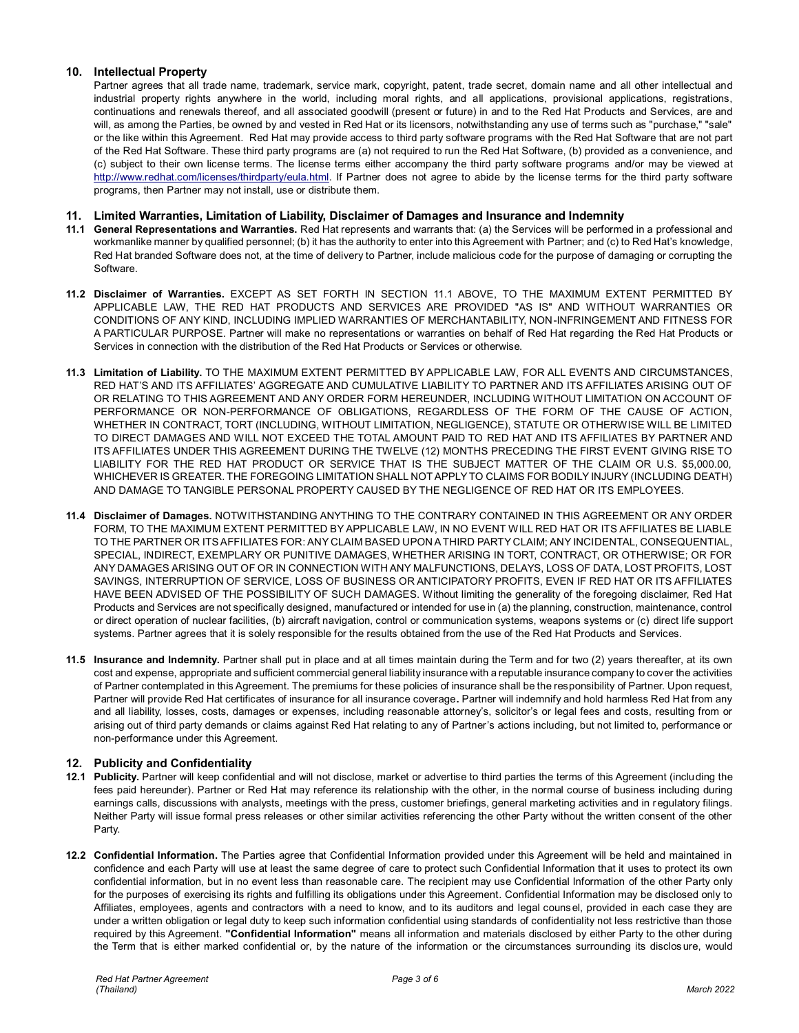# **10. Intellectual Property**

Partner agrees that all trade name, trademark, service mark, copyright, patent, trade secret, domain name and all other intellectual and industrial property rights anywhere in the world, including moral rights, and all applications, provisional applications, registrations, continuations and renewals thereof, and all associated goodwill (present or future) in and to the Red Hat Products and Services, are and will, as among the Parties, be owned by and vested in Red Hat or its licensors, notwithstanding any use of terms such as "purchase," "sale" or the like within this Agreement. Red Hat may provide access to third party software programs with the Red Hat Software that are not part of the Red Hat Software. These third party programs are (a) not required to run the Red Hat Software, (b) provided as a convenience, and (c) subject to their own license terms. The license terms either accompany the third party software programs and/or may be viewed at [http://www.redhat.com/licenses/thirdparty/eula.html.](http://www.redhat.com/licenses/thirdparty/eula.html) If Partner does not agree to abide by the license terms for the third party software programs, then Partner may not install, use or distribute them.

## **11. Limited Warranties, Limitation of Liability, Disclaimer of Damages and Insurance and Indemnity**

- **11.1 General Representations and Warranties.** Red Hat represents and warrants that: (a) the Services will be performed in a professional and workmanlike manner by qualified personnel; (b) it has the authority to enter into this Agreement with Partner; and (c) to Red Hat's knowledge, Red Hat branded Software does not, at the time of delivery to Partner, include malicious code for the purpose of damaging or corrupting the Software.
- **11.2 Disclaimer of Warranties.** EXCEPT AS SET FORTH IN SECTION 11.1 ABOVE, TO THE MAXIMUM EXTENT PERMITTED BY APPLICABLE LAW, THE RED HAT PRODUCTS AND SERVICES ARE PROVIDED "AS IS" AND WITHOUT WARRANTIES OR CONDITIONS OF ANY KIND, INCLUDING IMPLIED WARRANTIES OF MERCHANTABILITY, NON-INFRINGEMENT AND FITNESS FOR A PARTICULAR PURPOSE. Partner will make no representations or warranties on behalf of Red Hat regarding the Red Hat Products or Services in connection with the distribution of the Red Hat Products or Services or otherwise.
- **11.3 Limitation of Liability.** TO THE MAXIMUM EXTENT PERMITTED BY APPLICABLE LAW, FOR ALL EVENTS AND CIRCUMSTANCES, RED HAT'S AND ITS AFFILIATES' AGGREGATE AND CUMULATIVE LIABILITY TO PARTNER AND ITS AFFILIATES ARISING OUT OF OR RELATING TO THIS AGREEMENT AND ANY ORDER FORM HEREUNDER, INCLUDING WITHOUT LIMITATION ON ACCOUNT OF PERFORMANCE OR NON-PERFORMANCE OF OBLIGATIONS, REGARDLESS OF THE FORM OF THE CAUSE OF ACTION, WHETHER IN CONTRACT, TORT (INCLUDING, WITHOUT LIMITATION, NEGLIGENCE), STATUTE OR OTHERWISE WILL BE LIMITED TO DIRECT DAMAGES AND WILL NOT EXCEED THE TOTAL AMOUNT PAID TO RED HAT AND ITS AFFILIATES BY PARTNER AND ITS AFFILIATES UNDER THIS AGREEMENT DURING THE TWELVE (12) MONTHS PRECEDING THE FIRST EVENT GIVING RISE TO LIABILITY FOR THE RED HAT PRODUCT OR SERVICE THAT IS THE SUBJECT MATTER OF THE CLAIM OR U.S. \$5,000.00, WHICHEVER IS GREATER. THE FOREGOING LIMITATION SHALL NOT APPLY TO CLAIMS FOR BODILY INJURY (INCLUDING DEATH) AND DAMAGE TO TANGIBLE PERSONAL PROPERTY CAUSED BY THE NEGLIGENCE OF RED HAT OR ITS EMPLOYEES.
- **11.4 Disclaimer of Damages.** NOTWITHSTANDING ANYTHING TO THE CONTRARY CONTAINED IN THIS AGREEMENT OR ANY ORDER FORM, TO THE MAXIMUM EXTENT PERMITTED BY APPLICABLE LAW, IN NO EVENT WILL RED HAT OR ITS AFFILIATES BE LIABLE TO THE PARTNER OR ITS AFFILIATES FOR: ANY CLAIM BASED UPON A THIRD PARTY CLAIM; ANY INCIDENTAL, CONSEQUENTIAL, SPECIAL, INDIRECT, EXEMPLARY OR PUNITIVE DAMAGES, WHETHER ARISING IN TORT, CONTRACT, OR OTHERWISE; OR FOR ANY DAMAGES ARISING OUT OF OR IN CONNECTION WITH ANY MALFUNCTIONS, DELAYS, LOSS OF DATA, LOST PROFITS, LOST SAVINGS, INTERRUPTION OF SERVICE, LOSS OF BUSINESS OR ANTICIPATORY PROFITS, EVEN IF RED HAT OR ITS AFFILIATES HAVE BEEN ADVISED OF THE POSSIBILITY OF SUCH DAMAGES. Without limiting the generality of the foregoing disclaimer, Red Hat Products and Services are not specifically designed, manufactured or intended for use in (a) the planning, construction, maintenance, control or direct operation of nuclear facilities, (b) aircraft navigation, control or communication systems, weapons systems or (c) direct life support systems. Partner agrees that it is solely responsible for the results obtained from the use of the Red Hat Products and Services.
- **11.5 Insurance and Indemnity.** Partner shall put in place and at all times maintain during the Term and for two (2) years thereafter, at its own cost and expense, appropriate and sufficient commercial general liability insurance with a reputable insurance company to cover the activities of Partner contemplated in this Agreement. The premiums for these policies of insurance shall be the responsibility of Partner. Upon request, Partner will provide Red Hat certificates of insurance for all insurance coverage**.** Partner will indemnify and hold harmless Red Hat from any and all liability, losses, costs, damages or expenses, including reasonable attorney's, solicitor's or legal fees and costs, resulting from or arising out of third party demands or claims against Red Hat relating to any of Partner's actions including, but not limited to, performance or non-performance under this Agreement.

# **12. Publicity and Confidentiality**

- **12.1 Publicity.** Partner will keep confidential and will not disclose, market or advertise to third parties the terms of this Agreement (including the fees paid hereunder). Partner or Red Hat may reference its relationship with the other, in the normal course of business including during earnings calls, discussions with analysts, meetings with the press, customer briefings, general marketing activities and in regulatory filings. Neither Party will issue formal press releases or other similar activities referencing the other Party without the written consent of the other Party.
- **12.2 Confidential Information.** The Parties agree that Confidential Information provided under this Agreement will be held and maintained in confidence and each Party will use at least the same degree of care to protect such Confidential Information that it uses to protect its own confidential information, but in no event less than reasonable care. The recipient may use Confidential Information of the other Party only for the purposes of exercising its rights and fulfilling its obligations under this Agreement. Confidential Information may be disclosed only to Affiliates, employees, agents and contractors with a need to know, and to its auditors and legal counsel, provided in each case they are under a written obligation or legal duty to keep such information confidential using standards of confidentiality not less restrictive than those required by this Agreement. **"Confidential Information"** means all information and materials disclosed by either Party to the other during the Term that is either marked confidential or, by the nature of the information or the circumstances surrounding its disclos ure, would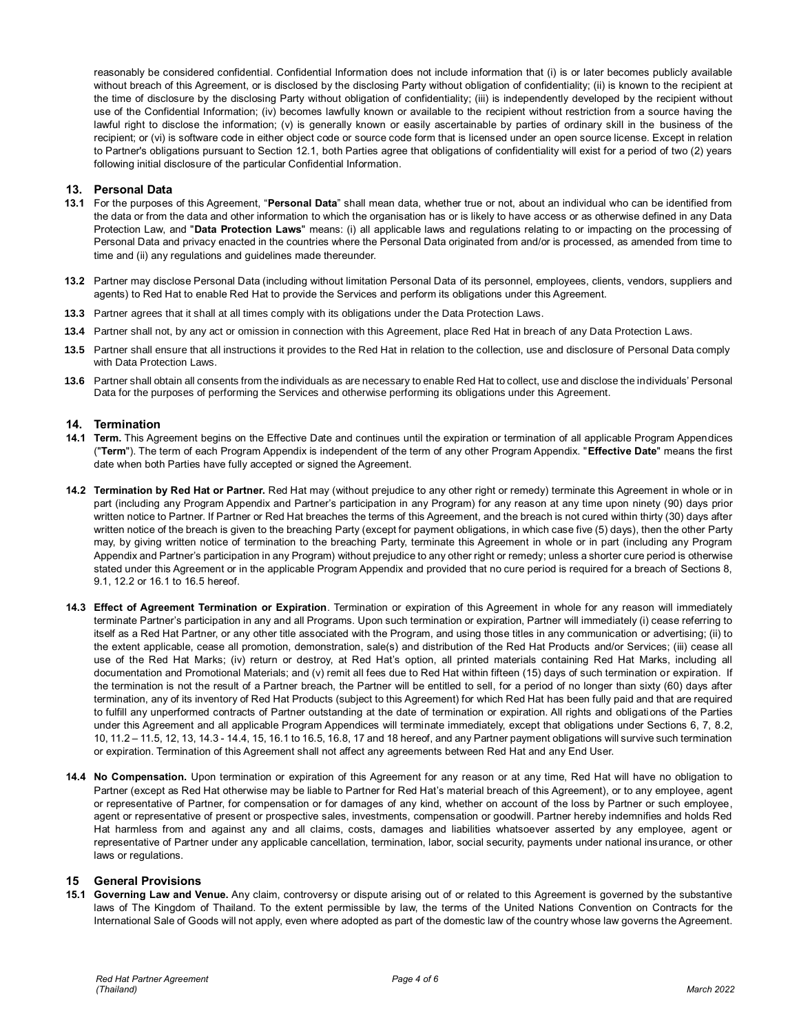reasonably be considered confidential. Confidential Information does not include information that (i) is or later becomes publicly available without breach of this Agreement, or is disclosed by the disclosing Party without obligation of confidentiality; (ii) is known to the recipient at the time of disclosure by the disclosing Party without obligation of confidentiality; (iii) is independently developed by the recipient without use of the Confidential Information; (iv) becomes lawfully known or available to the recipient without restriction from a source having the lawful right to disclose the information; (v) is generally known or easily ascertainable by parties of ordinary skill in the business of the recipient; or (vi) is software code in either object code or source code form that is licensed under an open source license. Except in relation to Partner's obligations pursuant to Section 12.1, both Parties agree that obligations of confidentiality will exist for a period of two (2) years following initial disclosure of the particular Confidential Information.

## **13. Personal Data**

- **13.1** For the purposes of this Agreement, "**Personal Data**" shall mean data, whether true or not, about an individual who can be identified from the data or from the data and other information to which the organisation has or is likely to have access or as otherwise defined in any Data Protection Law, and "**Data Protection Laws**" means: (i) all applicable laws and regulations relating to or impacting on the processing of Personal Data and privacy enacted in the countries where the Personal Data originated from and/or is processed, as amended from time to time and (ii) any regulations and guidelines made thereunder.
- **13.2** Partner may disclose Personal Data (including without limitation Personal Data of its personnel, employees, clients, vendors, suppliers and agents) to Red Hat to enable Red Hat to provide the Services and perform its obligations under this Agreement.
- **13.3** Partner agrees that it shall at all times comply with its obligations under the Data Protection Laws.
- **13.4** Partner shall not, by any act or omission in connection with this Agreement, place Red Hat in breach of any Data Protection Laws.
- **13.5** Partner shall ensure that all instructions it provides to the Red Hat in relation to the collection, use and disclosure of Personal Data comply with Data Protection Laws.
- **13.6** Partner shall obtain all consents from the individuals as are necessary to enable Red Hat to collect, use and disclose the individuals' Personal Data for the purposes of performing the Services and otherwise performing its obligations under this Agreement.

## **14. Termination**

- **14.1 Term.** This Agreement begins on the Effective Date and continues until the expiration or termination of all applicable Program Appendices ("**Term**"). The term of each Program Appendix is independent of the term of any other Program Appendix. "**Effective Date**" means the first date when both Parties have fully accepted or signed the Agreement.
- **14.2 Termination by Red Hat or Partner.** Red Hat may (without prejudice to any other right or remedy) terminate this Agreement in whole or in part (including any Program Appendix and Partner's participation in any Program) for any reason at any time upon ninety (90) days prior written notice to Partner. If Partner or Red Hat breaches the terms of this Agreement, and the breach is not cured within thirty (30) days after written notice of the breach is given to the breaching Party (except for payment obligations, in which case five (5) days), then the other Party may, by giving written notice of termination to the breaching Party, terminate this Agreement in whole or in part (including any Program Appendix and Partner's participation in any Program) without prejudice to any other right or remedy; unless a shorter cure period is otherwise stated under this Agreement or in the applicable Program Appendix and provided that no cure period is required for a breach of Sections 8, 9.1, 12.2 or 16.1 to 16.5 hereof.
- **14.3 Effect of Agreement Termination or Expiration**. Termination or expiration of this Agreement in whole for any reason will immediately terminate Partner's participation in any and all Programs. Upon such termination or expiration, Partner will immediately (i) cease referring to itself as a Red Hat Partner, or any other title associated with the Program, and using those titles in any communication or advertising; (ii) to the extent applicable, cease all promotion, demonstration, sale(s) and distribution of the Red Hat Products and/or Services; (iii) cease all use of the Red Hat Marks; (iv) return or destroy, at Red Hat's option, all printed materials containing Red Hat Marks, including all documentation and Promotional Materials; and (v) remit all fees due to Red Hat within fifteen (15) days of such termination or expiration. If the termination is not the result of a Partner breach, the Partner will be entitled to sell, for a period of no longer than sixty (60) days after termination, any of its inventory of Red Hat Products (subject to this Agreement) for which Red Hat has been fully paid and that are required to fulfill any unperformed contracts of Partner outstanding at the date of termination or expiration. All rights and obligations of the Parties under this Agreement and all applicable Program Appendices will terminate immediately, except that obligations under Sections 6, 7, 8.2, 10, 11.2 – 11.5, 12, 13, 14.3 - 14.4, 15, 16.1 to 16.5, 16.8, 17 and 18 hereof, and any Partner payment obligations will survive such termination or expiration. Termination of this Agreement shall not affect any agreements between Red Hat and any End User.
- **14.4 No Compensation.** Upon termination or expiration of this Agreement for any reason or at any time, Red Hat will have no obligation to Partner (except as Red Hat otherwise may be liable to Partner for Red Hat's material breach of this Agreement), or to any employee, agent or representative of Partner, for compensation or for damages of any kind, whether on account of the loss by Partner or such employee, agent or representative of present or prospective sales, investments, compensation or goodwill. Partner hereby indemnifies and holds Red Hat harmless from and against any and all claims, costs, damages and liabilities whatsoever asserted by any employee, agent or representative of Partner under any applicable cancellation, termination, labor, social security, payments under national insurance, or other laws or regulations.

## **15 General Provisions**

**15.1 Governing Law and Venue.** Any claim, controversy or dispute arising out of or related to this Agreement is governed by the substantive laws of The Kingdom of Thailand. To the extent permissible by law, the terms of the United Nations Convention on Contracts for the International Sale of Goods will not apply, even where adopted as part of the domestic law of the country whose law governs the Agreement.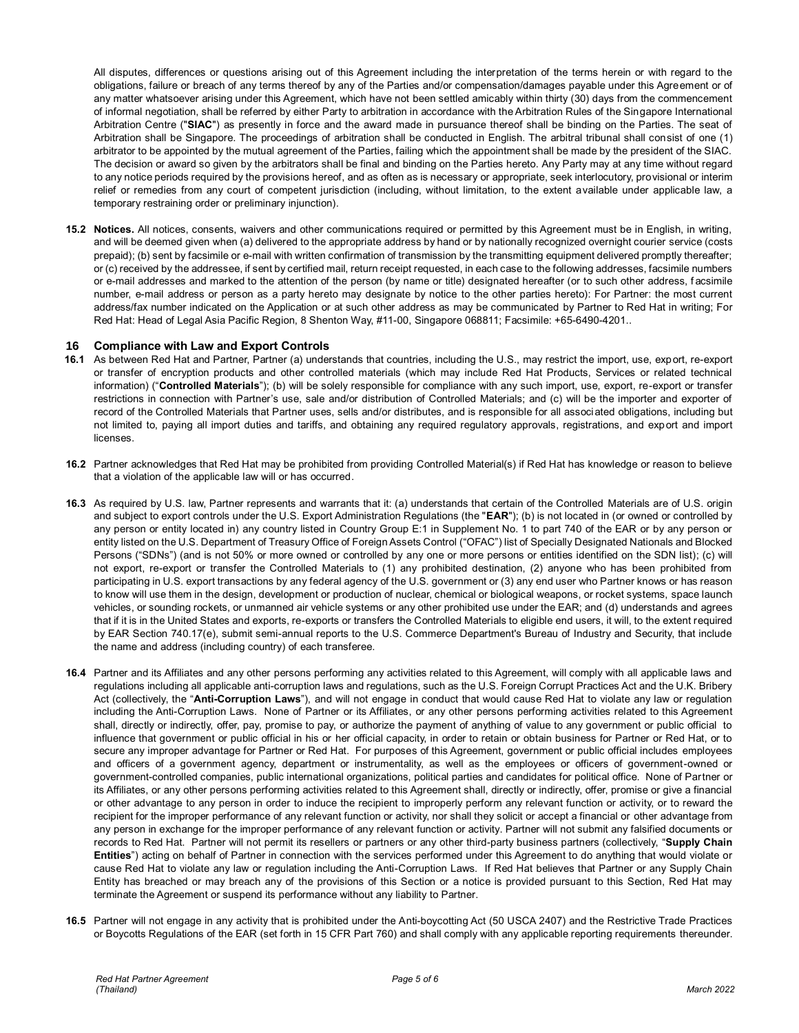All disputes, differences or questions arising out of this Agreement including the interpretation of the terms herein or with regard to the obligations, failure or breach of any terms thereof by any of the Parties and/or compensation/damages payable under this Agreement or of any matter whatsoever arising under this Agreement, which have not been settled amicably within thirty (30) days from the commencement of informal negotiation, shall be referred by either Party to arbitration in accordance with the Arbitration Rules of the Singapore International Arbitration Centre ("**SIAC**") as presently in force and the award made in pursuance thereof shall be binding on the Parties. The seat of Arbitration shall be Singapore. The proceedings of arbitration shall be conducted in English. The arbitral tribunal shall consist of one (1) arbitrator to be appointed by the mutual agreement of the Parties, failing which the appointment shall be made by the president of the SIAC. The decision or award so given by the arbitrators shall be final and binding on the Parties hereto. Any Party may at any time without regard to any notice periods required by the provisions hereof, and as often as is necessary or appropriate, seek interlocutory, provisional or interim relief or remedies from any court of competent jurisdiction (including, without limitation, to the extent available under applicable law, a temporary restraining order or preliminary injunction).

**15.2 Notices.** All notices, consents, waivers and other communications required or permitted by this Agreement must be in English, in writing, and will be deemed given when (a) delivered to the appropriate address by hand or by nationally recognized overnight courier service (costs prepaid); (b) sent by facsimile or e-mail with written confirmation of transmission by the transmitting equipment delivered promptly thereafter; or (c) received by the addressee, if sent by certified mail, return receipt requested, in each case to the following addresses, facsimile numbers or e-mail addresses and marked to the attention of the person (by name or title) designated hereafter (or to such other address, f acsimile number, e-mail address or person as a party hereto may designate by notice to the other parties hereto): For Partner: the most current address/fax number indicated on the Application or at such other address as may be communicated by Partner to Red Hat in writing; For Red Hat: Head of Legal Asia Pacific Region, 8 Shenton Way, #11-00, Singapore 068811; Facsimile: +65-6490-4201..

#### **16 Compliance with Law and Export Controls**

- **16.1** As between Red Hat and Partner, Partner (a) understands that countries, including the U.S., may restrict the import, use, export, re-export or transfer of encryption products and other controlled materials (which may include Red Hat Products, Services or related technical information) ("**Controlled Materials**"); (b) will be solely responsible for compliance with any such import, use, export, re-export or transfer restrictions in connection with Partner's use, sale and/or distribution of Controlled Materials; and (c) will be the importer and exporter of record of the Controlled Materials that Partner uses, sells and/or distributes, and is responsible for all associated obligations, including but not limited to, paying all import duties and tariffs, and obtaining any required regulatory approvals, registrations, and export and import licenses.
- **16.2** Partner acknowledges that Red Hat may be prohibited from providing Controlled Material(s) if Red Hat has knowledge or reason to believe that a violation of the applicable law will or has occurred.
- **16.3** As required by U.S. law, Partner represents and warrants that it: (a) understands that certain of the Controlled Materials are of U.S. origin and subject to export controls under the U.S. Export Administration Regulations (the "**EAR**"); (b) is not located in (or owned or controlled by any person or entity located in) any country listed in Country Group E:1 in Supplement No. 1 to part 740 of the EAR or by any person or entity listed on the U.S. Department of Treasury Office of Foreign Assets Control ("OFAC") list of Specially Designated Nationals and Blocked Persons ("SDNs") (and is not 50% or more owned or controlled by any one or more persons or entities identified on the SDN list); (c) will not export, re-export or transfer the Controlled Materials to (1) any prohibited destination, (2) anyone who has been prohibited from participating in U.S. export transactions by any federal agency of the U.S. government or (3) any end user who Partner knows or has reason to know will use them in the design, development or production of nuclear, chemical or biological weapons, or rocket systems, space launch vehicles, or sounding rockets, or unmanned air vehicle systems or any other prohibited use under the EAR; and (d) understands and agrees that if it is in the United States and exports, re-exports or transfers the Controlled Materials to eligible end users, it will, to the extent required by EAR Section 740.17(e), submit semi-annual reports to the U.S. Commerce Department's Bureau of Industry and Security, that include the name and address (including country) of each transferee.
- **16.4** Partner and its Affiliates and any other persons performing any activities related to this Agreement, will comply with all applicable laws and regulations including all applicable anti-corruption laws and regulations, such as the U.S. Foreign Corrupt Practices Act and the U.K. Bribery Act (collectively, the "**Anti-Corruption Laws**"), and will not engage in conduct that would cause Red Hat to violate any law or regulation including the Anti-Corruption Laws. None of Partner or its Affiliates, or any other persons performing activities related to this Agreement shall, directly or indirectly, offer, pay, promise to pay, or authorize the payment of anything of value to any government or public official to influence that government or public official in his or her official capacity, in order to retain or obtain business for Partner or Red Hat, or to secure any improper advantage for Partner or Red Hat. For purposes of this Agreement, government or public official includes employees and officers of a government agency, department or instrumentality, as well as the employees or officers of government-owned or government-controlled companies, public international organizations, political parties and candidates for political office. None of Partner or its Affiliates, or any other persons performing activities related to this Agreement shall, directly or indirectly, offer, promise or give a financial or other advantage to any person in order to induce the recipient to improperly perform any relevant function or activity, or to reward the recipient for the improper performance of any relevant function or activity, nor shall they solicit or accept a financial or other advantage from any person in exchange for the improper performance of any relevant function or activity. Partner will not submit any falsified documents or records to Red Hat. Partner will not permit its resellers or partners or any other third-party business partners (collectively, "**Supply Chain Entities**") acting on behalf of Partner in connection with the services performed under this Agreement to do anything that would violate or cause Red Hat to violate any law or regulation including the Anti-Corruption Laws. If Red Hat believes that Partner or any Supply Chain Entity has breached or may breach any of the provisions of this Section or a notice is provided pursuant to this Section, Red Hat may terminate the Agreement or suspend its performance without any liability to Partner.
- **16.5** Partner will not engage in any activity that is prohibited under the Anti-boycotting Act (50 USCA 2407) and the Restrictive Trade Practices or Boycotts Regulations of the EAR (set forth in 15 CFR Part 760) and shall comply with any applicable reporting requirements thereunder.